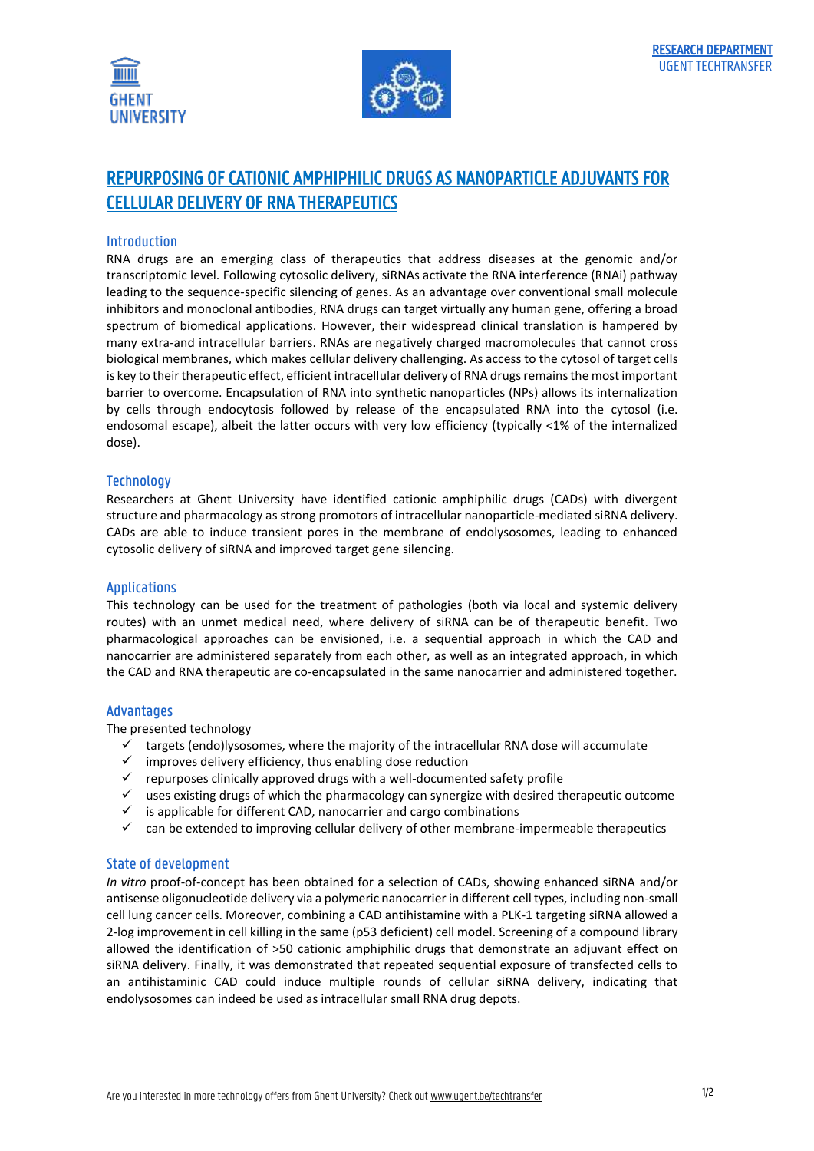



# REPURPOSING OF CATIONIC AMPHIPHILIC DRUGS AS NANOPARTICLE ADJUVANTS FOR CELLULAR DELIVERY OF RNA THERAPEUTICS

# Introduction

RNA drugs are an emerging class of therapeutics that address diseases at the genomic and/or transcriptomic level. Following cytosolic delivery, siRNAs activate the RNA interference (RNAi) pathway leading to the sequence-specific silencing of genes. As an advantage over conventional small molecule inhibitors and monoclonal antibodies, RNA drugs can target virtually any human gene, offering a broad spectrum of biomedical applications. However, their widespread clinical translation is hampered by many extra-and intracellular barriers. RNAs are negatively charged macromolecules that cannot cross biological membranes, which makes cellular delivery challenging. As access to the cytosol of target cells is key to their therapeutic effect, efficient intracellular delivery of RNA drugs remains the most important barrier to overcome. Encapsulation of RNA into synthetic nanoparticles (NPs) allows its internalization by cells through endocytosis followed by release of the encapsulated RNA into the cytosol (i.e. endosomal escape), albeit the latter occurs with very low efficiency (typically <1% of the internalized dose).

## **Technology**

Researchers at Ghent University have identified cationic amphiphilic drugs (CADs) with divergent structure and pharmacology as strong promotors of intracellular nanoparticle-mediated siRNA delivery. CADs are able to induce transient pores in the membrane of endolysosomes, leading to enhanced cytosolic delivery of siRNA and improved target gene silencing.

## Applications

This technology can be used for the treatment of pathologies (both via local and systemic delivery routes) with an unmet medical need, where delivery of siRNA can be of therapeutic benefit. Two pharmacological approaches can be envisioned, i.e. a sequential approach in which the CAD and nanocarrier are administered separately from each other, as well as an integrated approach, in which the CAD and RNA therapeutic are co-encapsulated in the same nanocarrier and administered together.

## Advantages

The presented technology

- $\checkmark$  targets (endo)lysosomes, where the majority of the intracellular RNA dose will accumulate
- $\checkmark$  improves delivery efficiency, thus enabling dose reduction
- $\checkmark$  repurposes clinically approved drugs with a well-documented safety profile
- $\checkmark$  uses existing drugs of which the pharmacology can synergize with desired therapeutic outcome
- $\checkmark$  is applicable for different CAD, nanocarrier and cargo combinations
- $\checkmark$  can be extended to improving cellular delivery of other membrane-impermeable therapeutics

## State of development

*In vitro* proof-of-concept has been obtained for a selection of CADs, showing enhanced siRNA and/or antisense oligonucleotide delivery via a polymeric nanocarrier in different cell types, including non-small cell lung cancer cells. Moreover, combining a CAD antihistamine with a PLK-1 targeting siRNA allowed a 2-log improvement in cell killing in the same (p53 deficient) cell model. Screening of a compound library allowed the identification of >50 cationic amphiphilic drugs that demonstrate an adjuvant effect on siRNA delivery. Finally, it was demonstrated that repeated sequential exposure of transfected cells to an antihistaminic CAD could induce multiple rounds of cellular siRNA delivery, indicating that endolysosomes can indeed be used as intracellular small RNA drug depots.